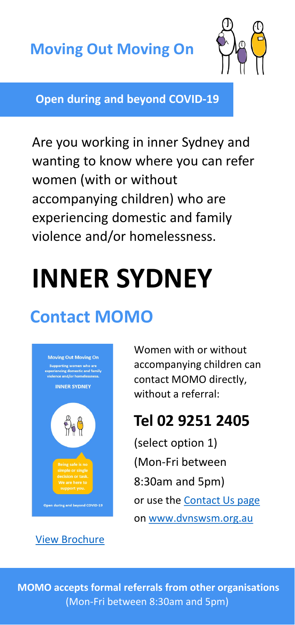

**Open during and beyond COVID-19**

Are you working in inner Sydney and wanting to know where you can refer women (with or without accompanying children) who are experiencing domestic and family violence and/or homelessness.

# **INNER SYDNEY**

## **Contact MOMO**



[View Brochure](https://dvnswsm.org.au/wp-content/uploads/2020/04/MOMO-Brochure-2020.pdf)

Women with or without accompanying children can contact MOMO directly, without a referral:

## **Tel 02 9251 2405**

(select option 1) (Mon-Fri between 8:30am and 5pm) or use the [Contact Us page](https://dvnswsm.org.au/contact/) on [www.dvnswsm.org.au](http://www.dvnswsm.org.au/)

**MOMO accepts formal referrals from other organisations**  (Mon-Fri between 8:30am and 5pm)